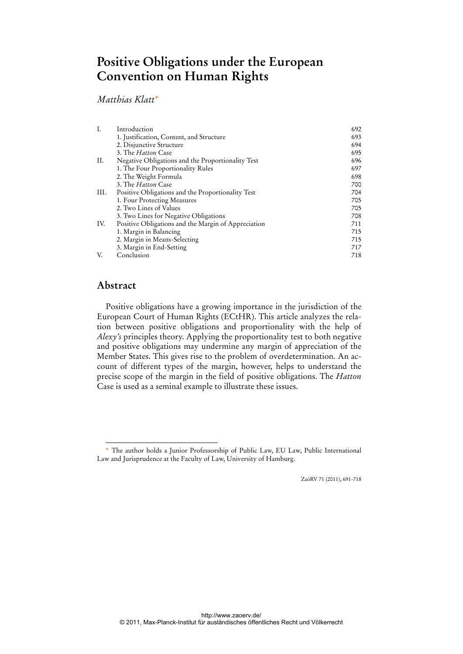# **Positive Obligations under the European Convention on Human Rights**

## *Matthias Klatt\**

| I.   | Introduction                                        | 692 |
|------|-----------------------------------------------------|-----|
|      | 1. Justification, Content, and Structure            | 693 |
|      | 2. Disjunctive Structure                            | 694 |
|      | 3. The <i>Hatton</i> Case                           | 695 |
| II.  | Negative Obligations and the Proportionality Test   | 696 |
|      | 1. The Four Proportionality Rules                   | 697 |
|      | 2. The Weight Formula                               | 698 |
|      | 3. The <i>Hatton</i> Case                           | 700 |
| III. | Positive Obligations and the Proportionality Test   | 704 |
|      | 1. Four Protecting Measures                         | 705 |
|      | 2. Two Lines of Values                              | 705 |
|      | 3. Two Lines for Negative Obligations               | 708 |
| IV.  | Positive Obligations and the Margin of Appreciation | 711 |
|      | 1. Margin in Balancing                              | 715 |
|      | 2. Margin in Means-Selecting                        | 715 |
|      | 3. Margin in End-Setting                            | 717 |
| V.   | Conclusion                                          | 718 |

## **Abstract**

-

Positive obligations have a growing importance in the jurisdiction of the European Court of Human Rights (ECtHR). This article analyzes the relation between positive obligations and proportionality with the help of *Alexy's* principles theory. Applying the proportionality test to both negative and positive obligations may undermine any margin of appreciation of the Member States. This gives rise to the problem of overdetermination. An account of different types of the margin, however, helps to understand the precise scope of the margin in the field of positive obligations. The *Hatton* Case is used as a seminal example to illustrate these issues.

ZaöRV 71 (2011), 691-718

<sup>\*</sup> The author holds a Junior Professorship of Public Law, EU Law, Public International Law and Jurisprudence at the Faculty of Law, University of Hamburg.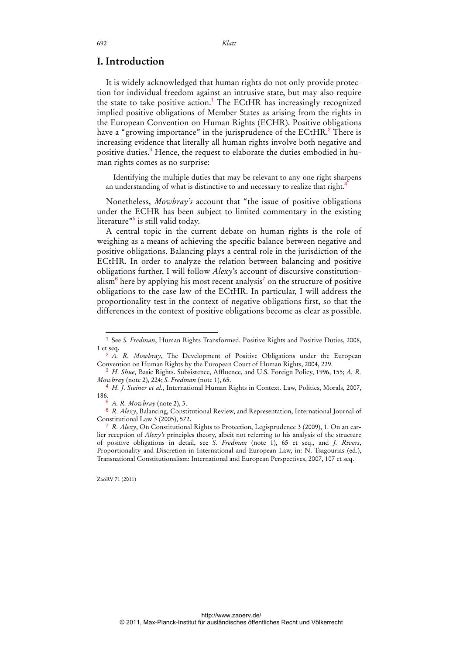## **I. Introduction**

It is widely acknowledged that human rights do not only provide protection for individual freedom against an intrusive state, but may also require the state to take positive action.<sup>1</sup> The ECtHR has increasingly recognized implied positive obligations of Member States as arising from the rights in the European Convention on Human Rights (ECHR). Positive obligations have a "growing importance" in the jurisprudence of the ECtHR.<sup>2</sup> There is increasing evidence that literally all human rights involve both negative and positive duties.<sup>3</sup> Hence, the request to elaborate the duties embodied in human rights comes as no surprise:

Identifying the multiple duties that may be relevant to any one right sharpens an understanding of what is distinctive to and necessary to realize that right.<sup>4</sup>

Nonetheless, *Mowbray's* account that "the issue of positive obligations under the ECHR has been subject to limited commentary in the existing literature"<sup>5</sup> is still valid today.

A central topic in the current debate on human rights is the role of weighing as a means of achieving the specific balance between negative and positive obligations. Balancing plays a central role in the jurisdiction of the ECtHR. In order to analyze the relation between balancing and positive obligations further, I will follow *Alexy*'s account of discursive constitutionalism<sup>6</sup> here by applying his most recent analysis<sup>7</sup> on the structure of positive obligations to the case law of the ECtHR. In particular, I will address the proportionality test in the context of negative obligations first, so that the differences in the context of positive obligations become as clear as possible.

-

<sup>1</sup> See *S. Fredman*, Human Rights Transformed. Positive Rights and Positive Duties, 2008, 1 et seq.

<sup>2</sup> *A. R. Mowbray*, The Development of Positive Obligations under the European Convention on Human Rights by the European Court of Human Rights, 2004, 229.

<sup>3</sup> *H. Shue,* Basic Rights. Subsistence, Affluence, and U.S. Foreign Policy, 1996, 155; *A. R. Mowbray* (note 2), 224; *S. Fredman* (note 1), 65.

<sup>4</sup> *H. J. Steiner et al.*, International Human Rights in Context. Law, Politics, Morals, 2007, 186.

<sup>5</sup> *A. R. Mowbray* (note 2), 3.

<sup>6</sup> *R. Alexy*, Balancing, Constitutional Review, and Representation, International Journal of Constitutional Law 3 (2005), 572.

<sup>7</sup> *R. Alexy*, On Constitutional Rights to Protection, Legisprudence 3 (2009), 1. On an earlier reception of *Alexy's* principles theory, albeit not referring to his analysis of the structure of positive obligations in detail, see *S. Fredman* (note 1), 65 et seq., and *J. Rivers*, Proportionality and Discretion in International and European Law, in: N. Tsagourias (ed.), Transnational Constitutionalism: International and European Perspectives, 2007, 107 et seq.

ZaöRV 71 (2011)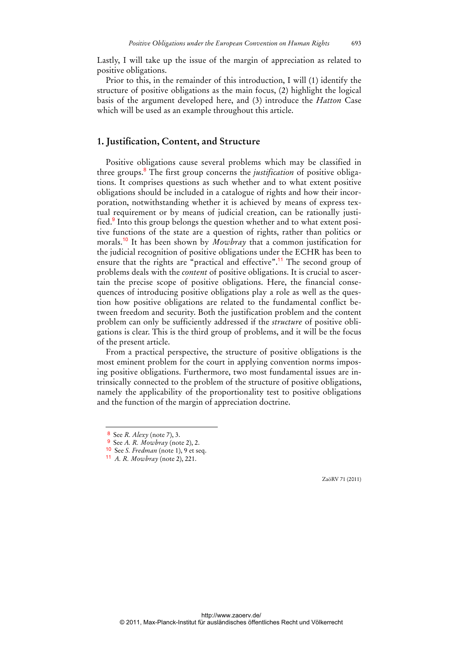Lastly, I will take up the issue of the margin of appreciation as related to positive obligations.

Prior to this, in the remainder of this introduction, I will (1) identify the structure of positive obligations as the main focus, (2) highlight the logical basis of the argument developed here, and (3) introduce the *Hatton* Case which will be used as an example throughout this article.

### **1. Justification, Content, and Structure**

Positive obligations cause several problems which may be classified in three groups.<sup>8</sup> The first group concerns the *justification* of positive obligations. It comprises questions as such whether and to what extent positive obligations should be included in a catalogue of rights and how their incorporation, notwithstanding whether it is achieved by means of express textual requirement or by means of judicial creation, can be rationally justified.<sup>9</sup> Into this group belongs the question whether and to what extent positive functions of the state are a question of rights, rather than politics or morals.<sup>10</sup> It has been shown by *Mowbray* that a common justification for the judicial recognition of positive obligations under the ECHR has been to ensure that the rights are "practical and effective".<sup>11</sup> The second group of problems deals with the *content* of positive obligations. It is crucial to ascertain the precise scope of positive obligations. Here, the financial consequences of introducing positive obligations play a role as well as the question how positive obligations are related to the fundamental conflict between freedom and security. Both the justification problem and the content problem can only be sufficiently addressed if the *structure* of positive obligations is clear. This is the third group of problems, and it will be the focus of the present article.

From a practical perspective, the structure of positive obligations is the most eminent problem for the court in applying convention norms imposing positive obligations. Furthermore, two most fundamental issues are intrinsically connected to the problem of the structure of positive obligations, namely the applicability of the proportionality test to positive obligations and the function of the margin of appreciation doctrine.

-

<sup>8</sup> See *R. Alexy* (note 7), 3.

<sup>9</sup> See *A. R. Mowbray* (note 2), 2.

<sup>10</sup> See *S. Fredman* (note 1), 9 et seq.

<sup>11</sup> *A. R. Mowbray* (note 2), 221.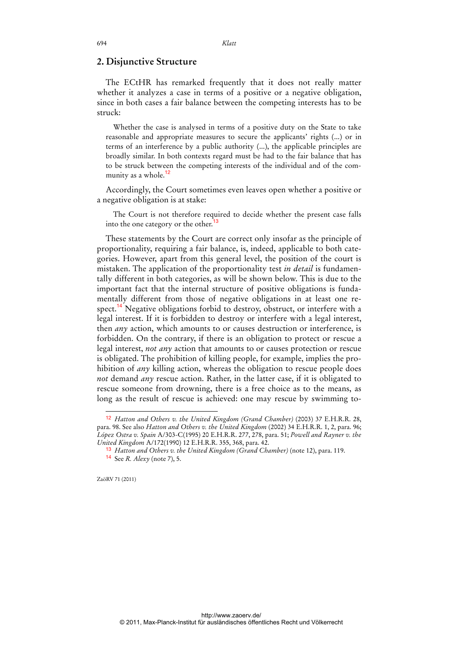#### **2. Disjunctive Structure**

The ECtHR has remarked frequently that it does not really matter whether it analyzes a case in terms of a positive or a negative obligation, since in both cases a fair balance between the competing interests has to be struck:

Whether the case is analysed in terms of a positive duty on the State to take reasonable and appropriate measures to secure the applicants' rights (...) or in terms of an interference by a public authority (...), the applicable principles are broadly similar. In both contexts regard must be had to the fair balance that has to be struck between the competing interests of the individual and of the community as a whole.<sup>12</sup>

Accordingly, the Court sometimes even leaves open whether a positive or a negative obligation is at stake:

The Court is not therefore required to decide whether the present case falls into the one category or the other.<sup>13</sup>

These statements by the Court are correct only insofar as the principle of proportionality, requiring a fair balance, is, indeed, applicable to both categories. However, apart from this general level, the position of the court is mistaken. The application of the proportionality test *in detail* is fundamentally different in both categories, as will be shown below. This is due to the important fact that the internal structure of positive obligations is fundamentally different from those of negative obligations in at least one respect.<sup>14</sup> Negative obligations forbid to destroy, obstruct, or interfere with a legal interest. If it is forbidden to destroy or interfere with a legal interest, then *any* action, which amounts to or causes destruction or interference, is forbidden. On the contrary, if there is an obligation to protect or rescue a legal interest, *not any* action that amounts to or causes protection or rescue is obligated. The prohibition of killing people, for example, implies the prohibition of *any* killing action, whereas the obligation to rescue people does *not* demand *any* rescue action. Rather, in the latter case, if it is obligated to rescue someone from drowning, there is a free choice as to the means, as long as the result of rescue is achieved: one may rescue by swimming to-

ZaöRV 71 (2011)

<sup>12</sup> *Hatton and Others v. the United Kingdom (Grand Chamber)* (2003) 37 E.H.R.R. 28, para. 98. See also *Hatton and Others v. the United Kingdom* (2002) 34 E.H.R.R. 1, 2, para. 96; *López Ostra v. Spain* A/303-C(1995) 20 E.H.R.R. 277, 278, para. 51; *Powell and Rayner v. the United Kingdom* A/172(1990) 12 E.H.R.R. 355, 368, para. 42.

<sup>13</sup> *Hatton and Others v. the United Kingdom (Grand Chamber)* (note 12), para. 119. 14 See *R. Alexy* (note 7), 5.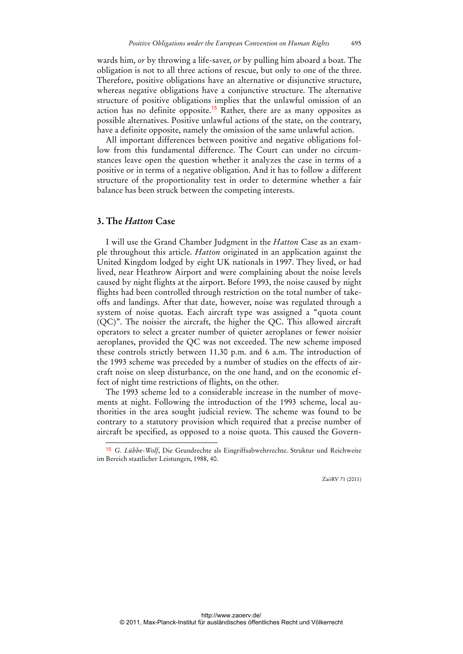wards him, *or* by throwing a life-saver, *or* by pulling him aboard a boat. The obligation is not to all three actions of rescue, but only to one of the three. Therefore, positive obligations have an alternative or disjunctive structure, whereas negative obligations have a conjunctive structure. The alternative structure of positive obligations implies that the unlawful omission of an action has no definite opposite.<sup>15</sup> Rather, there are as many opposites as possible alternatives. Positive unlawful actions of the state, on the contrary, have a definite opposite, namely the omission of the same unlawful action.

All important differences between positive and negative obligations follow from this fundamental difference. The Court can under no circumstances leave open the question whether it analyzes the case in terms of a positive or in terms of a negative obligation. And it has to follow a different structure of the proportionality test in order to determine whether a fair balance has been struck between the competing interests.

### **3. The** *Hatton* **Case**

-

I will use the Grand Chamber Judgment in the *Hatton* Case as an example throughout this article. *Hatton* originated in an application against the United Kingdom lodged by eight UK nationals in 1997. They lived, or had lived, near Heathrow Airport and were complaining about the noise levels caused by night flights at the airport. Before 1993, the noise caused by night flights had been controlled through restriction on the total number of takeoffs and landings. After that date, however, noise was regulated through a system of noise quotas. Each aircraft type was assigned a "quota count (QC)". The noisier the aircraft, the higher the QC. This allowed aircraft operators to select a greater number of quieter aeroplanes or fewer noisier aeroplanes, provided the QC was not exceeded. The new scheme imposed these controls strictly between 11.30 p.m. and 6 a.m. The introduction of the 1993 scheme was preceded by a number of studies on the effects of aircraft noise on sleep disturbance, on the one hand, and on the economic effect of night time restrictions of flights, on the other.

The 1993 scheme led to a considerable increase in the number of movements at night. Following the introduction of the 1993 scheme, local authorities in the area sought judicial review. The scheme was found to be contrary to a statutory provision which required that a precise number of aircraft be specified, as opposed to a noise quota. This caused the Govern-

<sup>15</sup> *G. Lübbe-Wolf*, Die Grundrechte als Eingriffsabwehrrechte. Struktur und Reichweite im Bereich staatlicher Leistungen, 1988, 40.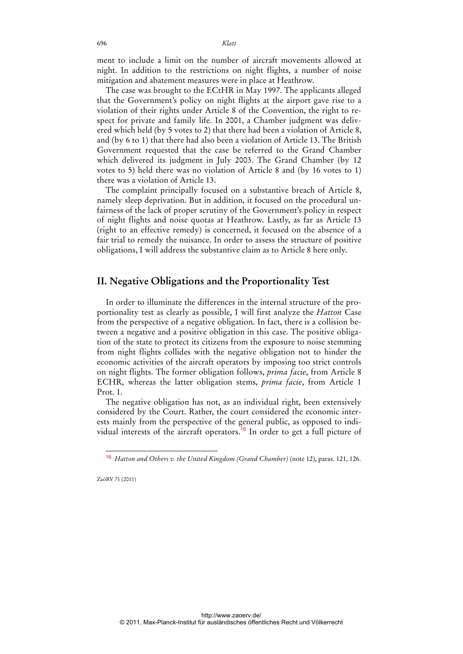ment to include a limit on the number of aircraft movements allowed at night. In addition to the restrictions on night flights, a number of noise mitigation and abatement measures were in place at Heathrow.

The case was brought to the ECtHR in May 1997. The applicants alleged that the Government's policy on night flights at the airport gave rise to a violation of their rights under Article 8 of the Convention, the right to respect for private and family life. In 2001, a Chamber judgment was delivered which held (by 5 votes to 2) that there had been a violation of Article 8, and (by 6 to 1) that there had also been a violation of Article 13. The British Government requested that the case be referred to the Grand Chamber which delivered its judgment in July 2003. The Grand Chamber (by 12 votes to 5) held there was no violation of Article 8 and (by 16 votes to 1) there was a violation of Article 13.

The complaint principally focused on a substantive breach of Article 8, namely sleep deprivation. But in addition, it focused on the procedural unfairness of the lack of proper scrutiny of the Government's policy in respect of night flights and noise quotas at Heathrow. Lastly, as far as Article 13 (right to an effective remedy) is concerned, it focused on the absence of a fair trial to remedy the nuisance. In order to assess the structure of positive obligations, I will address the substantive claim as to Article 8 here only.

## **II. Negative Obligations and the Proportionality Test**

In order to illuminate the differences in the internal structure of the proportionality test as clearly as possible, I will first analyze the *Hatton* Case from the perspective of a negative obligation. In fact, there is a collision between a negative and a positive obligation in this case. The positive obligation of the state to protect its citizens from the exposure to noise stemming from night flights collides with the negative obligation not to hinder the economic activities of the aircraft operators by imposing too strict controls on night flights. The former obligation follows, *prima facie*, from Article 8 ECHR, whereas the latter obligation stems, *prima facie*, from Article 1 Prot. 1.

The negative obligation has not, as an individual right, been extensively considered by the Court. Rather, the court considered the economic interests mainly from the perspective of the general public, as opposed to individual interests of the aircraft operators.<sup>16</sup> In order to get a full picture of

ZaöRV 71 (2011)

-

<sup>16</sup> *Hatton and Others v. the United Kingdom (Grand Chamber)* (note 12), paras. 121, 126.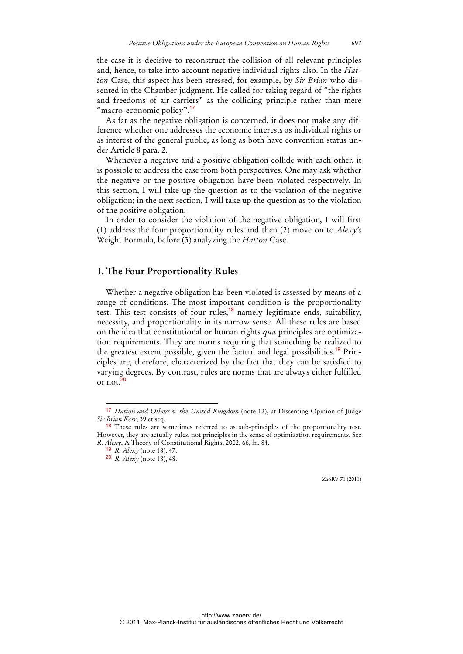the case it is decisive to reconstruct the collision of all relevant principles and, hence, to take into account negative individual rights also. In the *Hatton* Case, this aspect has been stressed, for example, by *Sir Brian* who dissented in the Chamber judgment. He called for taking regard of "the rights and freedoms of air carriers" as the colliding principle rather than mere "macro-economic policy".<sup>17</sup>

As far as the negative obligation is concerned, it does not make any difference whether one addresses the economic interests as individual rights or as interest of the general public, as long as both have convention status under Article 8 para. 2.

Whenever a negative and a positive obligation collide with each other, it is possible to address the case from both perspectives. One may ask whether the negative or the positive obligation have been violated respectively. In this section, I will take up the question as to the violation of the negative obligation; in the next section, I will take up the question as to the violation of the positive obligation.

In order to consider the violation of the negative obligation, I will first (1) address the four proportionality rules and then (2) move on to *Alexy's* Weight Formula, before (3) analyzing the *Hatton* Case.

## **1. The Four Proportionality Rules**

Whether a negative obligation has been violated is assessed by means of a range of conditions. The most important condition is the proportionality test. This test consists of four rules,<sup>18</sup> namely legitimate ends, suitability, necessity, and proportionality in its narrow sense. All these rules are based on the idea that constitutional or human rights *qua* principles are optimization requirements. They are norms requiring that something be realized to the greatest extent possible, given the factual and legal possibilities.19 Principles are, therefore, characterized by the fact that they can be satisfied to varying degrees. By contrast, rules are norms that are always either fulfilled or not. $20$ 

<sup>17</sup> *Hatton and Others v. the United Kingdom* (note 12), at Dissenting Opinion of Judge *Sir Brian Kerr*, 39 et seq.

<sup>&</sup>lt;sup>18</sup> These rules are sometimes referred to as sub-principles of the proportionality test. However, they are actually rules, not principles in the sense of optimization requirements. See *R. Alexy*, A Theory of Constitutional Rights, 2002, 66, fn. 84.

<sup>19</sup> *R. Alexy* (note 18), 47.

<sup>20</sup> *R. Alexy* (note 18), 48.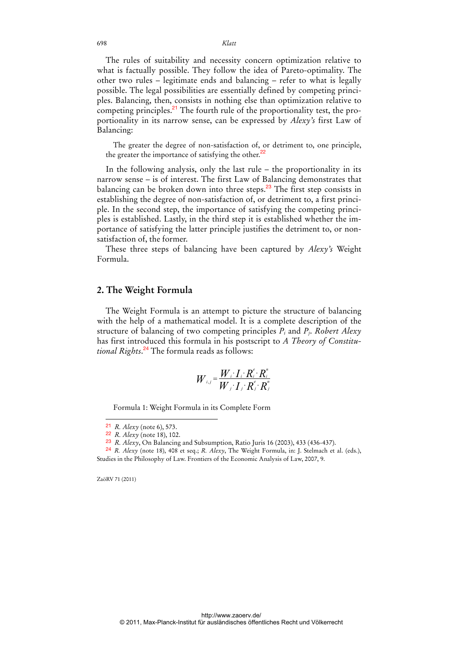The rules of suitability and necessity concern optimization relative to what is factually possible. They follow the idea of Pareto-optimality. The other two rules – legitimate ends and balancing – refer to what is legally possible. The legal possibilities are essentially defined by competing principles. Balancing, then, consists in nothing else than optimization relative to competing principles.<sup>21</sup> The fourth rule of the proportionality test, the proportionality in its narrow sense, can be expressed by *Alexy's* first Law of Balancing:

The greater the degree of non-satisfaction of, or detriment to, one principle, the greater the importance of satisfying the other.<sup>22</sup>

In the following analysis, only the last rule – the proportionality in its narrow sense – is of interest. The first Law of Balancing demonstrates that balancing can be broken down into three steps.<sup>23</sup> The first step consists in establishing the degree of non-satisfaction of, or detriment to, a first principle. In the second step, the importance of satisfying the competing principles is established. Lastly, in the third step it is established whether the importance of satisfying the latter principle justifies the detriment to, or nonsatisfaction of, the former.

These three steps of balancing have been captured by *Alexy's* Weight Formula.

#### **2. The Weight Formula**

The Weight Formula is an attempt to picture the structure of balancing with the help of a mathematical model. It is a complete description of the structure of balancing of two competing principles *Pi* and *Pj*. *Robert Alexy* has first introduced this formula in his postscript to *A Theory of Constitutional Rights*. <sup>24</sup> The formula reads as follows:

$$
W_{i,j} = \frac{W_i \cdot I_i \cdot R_i^e \cdot R_i^n}{W_j \cdot I_j \cdot R_j^e \cdot R_j^n}
$$

Formula 1: Weight Formula in its Complete Form

24 *R. Alexy* (note 18), 408 et seq.; *R. Alexy*, The Weight Formula, in: J. Stelmach et al. (eds.), Studies in the Philosophy of Law. Frontiers of the Economic Analysis of Law, 2007, 9.

ZaöRV 71 (2011)

<sup>21</sup> *R. Alexy* (note 6), 573.

<sup>22</sup> *R. Alexy* (note 18), 102.

<sup>23</sup> *R. Alexy*, On Balancing and Subsumption, Ratio Juris 16 (2003), 433 (436-437).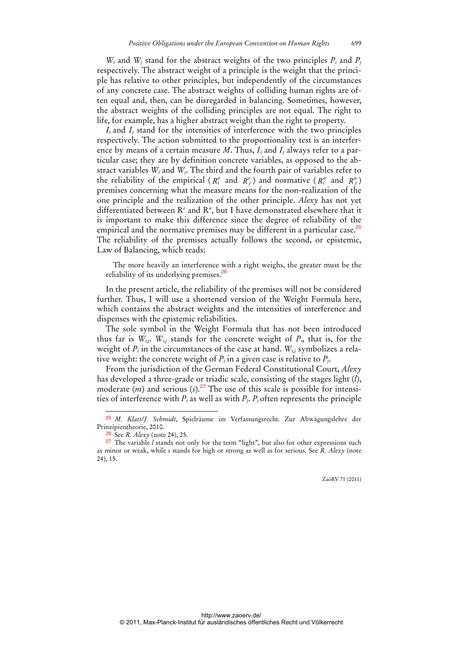*Wi* and *Wj* stand for the abstract weights of the two principles *Pi* and *Pj* respectively. The abstract weight of a principle is the weight that the principle has relative to other principles, but independently of the circumstances of any concrete case. The abstract weights of colliding human rights are often equal and, then, can be disregarded in balancing. Sometimes, however, the abstract weights of the colliding principles are not equal. The right to life, for example, has a higher abstract weight than the right to property.

*I<sub>i</sub>* and *I<sub>i</sub>* stand for the intensities of interference with the two principles respectively. The action submitted to the proportionality test is an interference by means of a certain measure *M*. Thus, *Ii* and *Ij* always refer to a particular case; they are by definition concrete variables, as opposed to the abstract variables *Wi* and *Wj*. The third and the fourth pair of variables refer to the reliability of the empirical ( $R_i^e$  and  $R_j^e$ ) and normative ( $R_i^n$  and  $R_j^n$ ) premises concerning what the measure means for the non-realization of the one principle and the realization of the other principle. *Alexy* has not yet differentiated between R*<sup>e</sup>* and R*<sup>n</sup>*, but I have demonstrated elsewhere that it is important to make this difference since the degree of reliability of the empirical and the normative premises may be different in a particular case.<sup>25</sup> The reliability of the premises actually follows the second, or epistemic, Law of Balancing, which reads:

The more heavily an interference with a right weighs, the greater must be the reliability of its underlying premises.<sup>26</sup>

In the present article, the reliability of the premises will not be considered further. Thus, I will use a shortened version of the Weight Formula here, which contains the abstract weights and the intensities of interference and dispenses with the epistemic reliabilities.

The sole symbol in the Weight Formula that has not been introduced thus far is  $W_{i,j}$ .  $W_{i,j}$  stands for the concrete weight of  $P_i$ , that is, for the weight of *Pi* in the circumstances of the case at hand. *Wi,j* symbolizes a relative weight: the concrete weight of  $P_i$  in a given case is relative to  $P_i$ .

From the jurisdiction of the German Federal Constitutional Court, *Alexy* has developed a three-grade or triadic scale, consisting of the stages light (*l*), moderate  $(m)$  and serious  $(s)$ .<sup>27</sup> The use of this scale is possible for intensities of interference with  $P_i$  as well as with  $P_i$ .  $P_i$  often represents the principle

<sup>25</sup> *M. Klatt/J. Schmidt*, Spielräume im Verfassungsrecht. Zur Abwägungslehre der Prinzipientheorie, 2010.

<sup>26</sup> See *R. Alexy* (note 24), 25.

<sup>27</sup> The variable *l* stands not only for the term "light", but also for other expressions such as minor or weak, while *s* stands for high or strong as well as for serious. See *R. Alexy* (note 24), 15.

ZaöRV 71 (2011)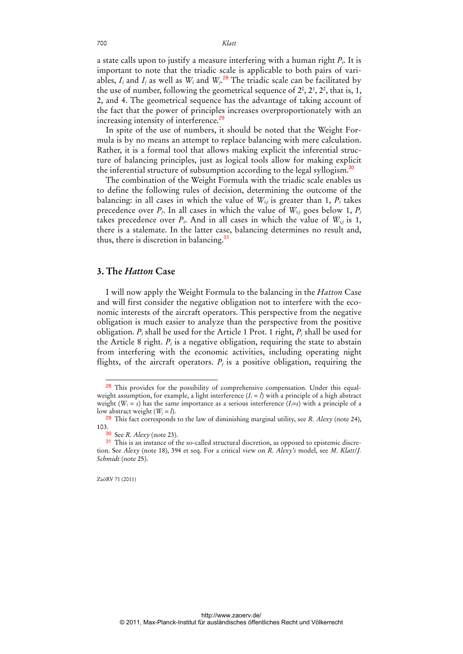a state calls upon to justify a measure interfering with a human right *Pi*. It is important to note that the triadic scale is applicable to both pairs of variables,  $I_i$  and  $I_j$  as well as  $W_i$  and  $W_j$ .<sup>28</sup> The triadic scale can be facilitated by the use of number, following the geometrical sequence of  $2^0$ ,  $2^1$ ,  $2^2$ , that is, 1, 2, and 4. The geometrical sequence has the advantage of taking account of the fact that the power of principles increases overproportionately with an increasing intensity of interference.<sup>29</sup>

In spite of the use of numbers, it should be noted that the Weight Formula is by no means an attempt to replace balancing with mere calculation. Rather, it is a formal tool that allows making explicit the inferential structure of balancing principles, just as logical tools allow for making explicit the inferential structure of subsumption according to the legal syllogism.<sup>30</sup>

The combination of the Weight Formula with the triadic scale enables us to define the following rules of decision, determining the outcome of the balancing: in all cases in which the value of  $W_{i,j}$  is greater than 1,  $P_i$  takes precedence over  $P_i$ . In all cases in which the value of  $W_{i,j}$  goes below 1,  $P_j$ takes precedence over  $P_i$ . And in all cases in which the value of  $W_{i,j}$  is 1, there is a stalemate. In the latter case, balancing determines no result and, thus, there is discretion in balancing.<sup>31</sup>

## **3. The** *Hatton* **Case**

I will now apply the Weight Formula to the balancing in the *Hatton* Case and will first consider the negative obligation not to interfere with the economic interests of the aircraft operators. This perspective from the negative obligation is much easier to analyze than the perspective from the positive obligation. *Pi* shall be used for the Article 1 Prot. 1 right, *Pj* shall be used for the Article 8 right.  $P_i$  is a negative obligation, requiring the state to abstain from interfering with the economic activities, including operating night flights, of the aircraft operators.  $P_i$  is a positive obligation, requiring the

<sup>28</sup> This provides for the possibility of comprehensive compensation. Under this equalweight assumption, for example, a light interference  $(I_i = l)$  with a principle of a high abstract weight (*Wi = s*) has the same importance as a serious interference (*Ij=s*) with a principle of a low abstract weight  $(W_i = l)$ .

<sup>29</sup> This fact corresponds to the law of diminishing marginal utility, see *R. Alexy* (note 24), 103.

<sup>30</sup> See *R. Alexy* (note 23).

<sup>&</sup>lt;sup>31</sup> This is an instance of the so-called structural discretion, as opposed to epistemic discretion. See *Alexy* (note 18), 394 et seq. For a critical view on *R. Alexy's* model, see *M. Klatt*/*J. Schmidt* (note 25).

ZaöRV 71 (2011)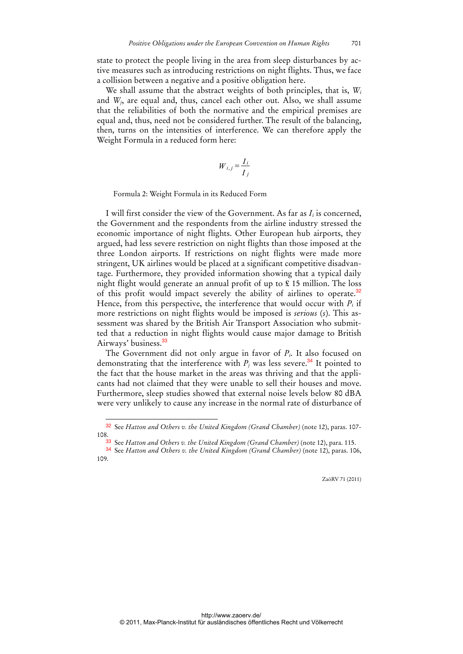state to protect the people living in the area from sleep disturbances by active measures such as introducing restrictions on night flights. Thus, we face a collision between a negative and a positive obligation here.

We shall assume that the abstract weights of both principles, that is, *Wi* and *Wj*, are equal and, thus, cancel each other out. Also, we shall assume that the reliabilities of both the normative and the empirical premises are equal and, thus, need not be considered further. The result of the balancing, then, turns on the intensities of interference. We can therefore apply the Weight Formula in a reduced form here:

$$
W_{i,j} = \frac{I_i}{I_j}
$$

Formula 2: Weight Formula in its Reduced Form

I will first consider the view of the Government. As far as *Ii* is concerned, the Government and the respondents from the airline industry stressed the economic importance of night flights. Other European hub airports, they argued, had less severe restriction on night flights than those imposed at the three London airports. If restrictions on night flights were made more stringent, UK airlines would be placed at a significant competitive disadvantage. Furthermore, they provided information showing that a typical daily night flight would generate an annual profit of up to £ 15 million. The loss of this profit would impact severely the ability of airlines to operate.<sup>32</sup> Hence, from this perspective, the interference that would occur with *Pi* if more restrictions on night flights would be imposed is *serious* (*s*). This assessment was shared by the British Air Transport Association who submitted that a reduction in night flights would cause major damage to British Airways' business.<sup>33</sup>

The Government did not only argue in favor of *Pi*. It also focused on demonstrating that the interference with  $P_i$  was less severe.<sup>34</sup> It pointed to the fact that the house market in the areas was thriving and that the applicants had not claimed that they were unable to sell their houses and move. Furthermore, sleep studies showed that external noise levels below 80 dBA were very unlikely to cause any increase in the normal rate of disturbance of

<sup>32</sup> See *Hatton and Others v. the United Kingdom (Grand Chamber)* (note 12), paras. 107- 108.

<sup>33</sup> See *Hatton and Others v. the United Kingdom (Grand Chamber)* (note 12), para. 115.

<sup>34</sup> See *Hatton and Others v. the United Kingdom (Grand Chamber)* (note 12), paras. 106, 109.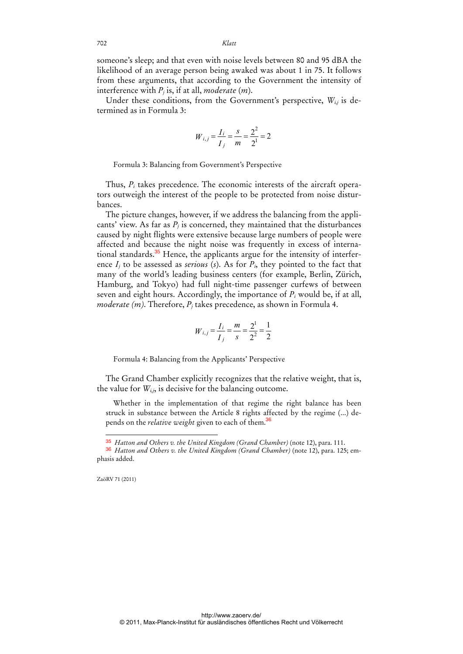someone's sleep; and that even with noise levels between 80 and 95 dBA the likelihood of an average person being awaked was about 1 in 75. It follows from these arguments, that according to the Government the intensity of interference with *Pj* is, if at all, *moderate* (*m*).

Under these conditions, from the Government's perspective, *Wi,j* is determined as in Formula 3:

$$
W_{i,j} = \frac{I_i}{I_j} = \frac{s}{m} = \frac{2^2}{2^1} = 2
$$

Formula 3: Balancing from Government's Perspective

Thus, *Pi* takes precedence. The economic interests of the aircraft operators outweigh the interest of the people to be protected from noise disturbances.

The picture changes, however, if we address the balancing from the applicants' view. As far as  $P_j$  is concerned, they maintained that the disturbances caused by night flights were extensive because large numbers of people were affected and because the night noise was frequently in excess of international standards.<sup>35</sup> Hence, the applicants argue for the intensity of interference  $I_j$  to be assessed as *serious* (*s*). As for  $P_i$ , they pointed to the fact that many of the world's leading business centers (for example, Berlin, Zürich, Hamburg, and Tokyo) had full night-time passenger curfews of between seven and eight hours. Accordingly, the importance of  $P_i$  would be, if at all, *moderate (m)*. Therefore,  $P_i$  takes precedence, as shown in Formula 4.

$$
W_{i,j} = \frac{I_i}{I_j} = \frac{m}{s} = \frac{2^1}{2^2} = \frac{1}{2}
$$

Formula 4: Balancing from the Applicants' Perspective

The Grand Chamber explicitly recognizes that the relative weight, that is, the value for  $W_{i,j}$ , is decisive for the balancing outcome.

Whether in the implementation of that regime the right balance has been struck in substance between the Article 8 rights affected by the regime (...) depends on the *relative weight* given to each of them.<sup>36</sup>

ZaöRV 71 (2011)

-

<sup>35</sup> *Hatton and Others v. the United Kingdom (Grand Chamber)* (note 12), para. 111.

<sup>36</sup> *Hatton and Others v. the United Kingdom (Grand Chamber)* (note 12), para. 125; emphasis added.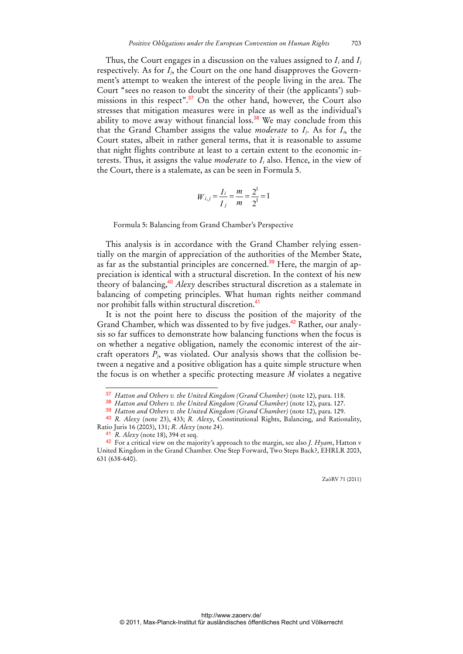Thus, the Court engages in a discussion on the values assigned to *Ii* and *Ij* respectively. As for *I<sub>i</sub>*, the Court on the one hand disapproves the Government's attempt to weaken the interest of the people living in the area. The Court "sees no reason to doubt the sincerity of their (the applicants') submissions in this respect".<sup>37</sup> On the other hand, however, the Court also stresses that mitigation measures were in place as well as the individual's ability to move away without financial loss.<sup>38</sup> We may conclude from this that the Grand Chamber assigns the value *moderate* to  $I_i$ . As for  $I_i$ , the Court states, albeit in rather general terms, that it is reasonable to assume that night flights contribute at least to a certain extent to the economic interests. Thus, it assigns the value *moderate* to *Ii* also. Hence, in the view of the Court, there is a stalemate, as can be seen in Formula 5.

$$
W_{i,j} = \frac{I_i}{I_j} = \frac{m}{m} = \frac{2^1}{2^1} = 1
$$

Formula 5: Balancing from Grand Chamber's Perspective

This analysis is in accordance with the Grand Chamber relying essentially on the margin of appreciation of the authorities of the Member State, as far as the substantial principles are concerned.<sup>39</sup> Here, the margin of appreciation is identical with a structural discretion. In the context of his new theory of balancing,<sup>40</sup> *Alexy* describes structural discretion as a stalemate in balancing of competing principles. What human rights neither command nor prohibit falls within structural discretion.<sup>41</sup>

It is not the point here to discuss the position of the majority of the Grand Chamber, which was dissented to by five judges.<sup>42</sup> Rather, our analysis so far suffices to demonstrate how balancing functions when the focus is on whether a negative obligation, namely the economic interest of the aircraft operators *Pj*, was violated. Our analysis shows that the collision between a negative and a positive obligation has a quite simple structure when the focus is on whether a specific protecting measure *M* violates a negative

l

<sup>37</sup> *Hatton and Others v. the United Kingdom (Grand Chamber)* (note 12), para. 118.

<sup>38</sup> *Hatton and Others v. the United Kingdom (Grand Chamber)* (note 12), para. 127.

<sup>39</sup> *Hatton and Others v. the United Kingdom (Grand Chamber)* (note 12), para. 129.

<sup>40</sup> *R. Alexy* (note 23), 433; *R. Alexy*, Constitutional Rights, Balancing, and Rationality, Ratio Juris 16 (2003), 131; *R. Alexy* (note 24).

<sup>41</sup> *R. Alexy* (note 18), 394 et seq.

<sup>42</sup> For a critical view on the majority's approach to the margin, see also *J. Hyam*, Hatton v United Kingdom in the Grand Chamber. One Step Forward, Two Steps Back?, EHRLR 2003, 631 (638-640).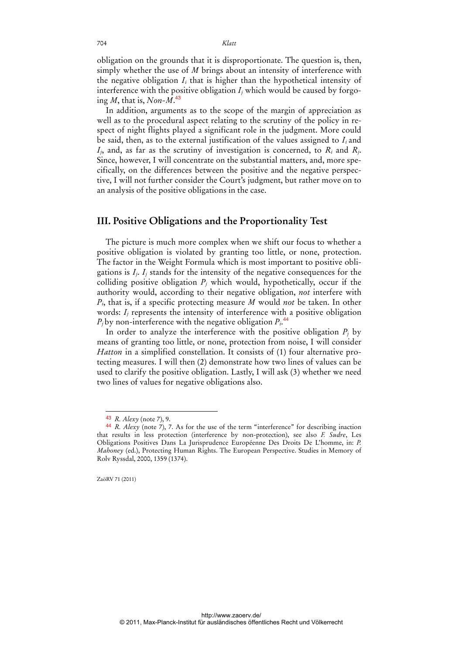obligation on the grounds that it is disproportionate. The question is, then, simply whether the use of *M* brings about an intensity of interference with the negative obligation *Ii* that is higher than the hypothetical intensity of interference with the positive obligation  $I_i$  which would be caused by forgoing *M*, that is, *Non-M*. 43

In addition, arguments as to the scope of the margin of appreciation as well as to the procedural aspect relating to the scrutiny of the policy in respect of night flights played a significant role in the judgment. More could be said, then, as to the external justification of the values assigned to  $I_i$  and *Ij*, and, as far as the scrutiny of investigation is concerned, to *Ri* and *Rj*. Since, however, I will concentrate on the substantial matters, and, more specifically, on the differences between the positive and the negative perspective, I will not further consider the Court's judgment, but rather move on to an analysis of the positive obligations in the case.

## **III. Positive Obligations and the Proportionality Test**

The picture is much more complex when we shift our focus to whether a positive obligation is violated by granting too little, or none, protection. The factor in the Weight Formula which is most important to positive obligations is  $I_i$ ,  $I_j$  stands for the intensity of the negative consequences for the colliding positive obligation  $P_j$  which would, hypothetically, occur if the authority would, according to their negative obligation, *not* interfere with *Pi*, that is, if a specific protecting measure *M* would *not* be taken. In other words: *I<sub>j</sub>* represents the intensity of interference with a positive obligation  $P_i$  by non-interference with the negative obligation  $P_i$ .<sup>44</sup>

In order to analyze the interference with the positive obligation  $P_i$  by means of granting too little, or none, protection from noise, I will consider *Hatton* in a simplified constellation. It consists of (1) four alternative protecting measures. I will then (2) demonstrate how two lines of values can be used to clarify the positive obligation. Lastly, I will ask (3) whether we need two lines of values for negative obligations also.

<sup>43</sup> *R. Alexy* (note 7), 9.

<sup>44</sup> *R. Alexy* (note 7), 7. As for the use of the term "interference" for describing inaction that results in less protection (interference by non-protection), see also *F. Sudre*, Les Obligations Positives Dans La Jurisprudence Européenne Des Droits De L'homme, in: *P. Mahoney* (ed.), Protecting Human Rights. The European Perspective. Studies in Memory of Rolv Ryssdal, 2000, 1359 (1374).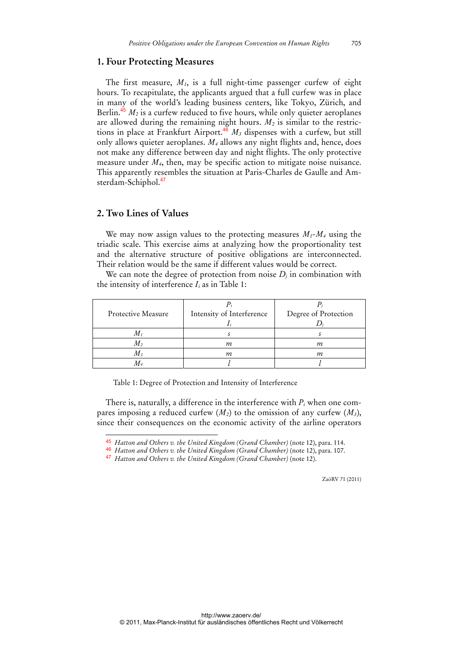#### **1. Four Protecting Measures**

The first measure, *M1*, is a full night-time passenger curfew of eight hours. To recapitulate, the applicants argued that a full curfew was in place in many of the world's leading business centers, like Tokyo, Zürich, and Berlin.<sup>45</sup>  $M_2$  is a curfew reduced to five hours, while only quieter aeroplanes are allowed during the remaining night hours.  $M_2$  is similar to the restrictions in place at Frankfurt Airport.<sup>46</sup>  $M_3$  dispenses with a curfew, but still only allows quieter aeroplanes. *M4* allows any night flights and, hence, does not make any difference between day and night flights. The only protective measure under *M4*, then, may be specific action to mitigate noise nuisance. This apparently resembles the situation at Paris-Charles de Gaulle and Amsterdam-Schiphol.<sup>47</sup>

### **2. Two Lines of Values**

-

We may now assign values to the protecting measures  $M_1 - M_4$  using the triadic scale. This exercise aims at analyzing how the proportionality test and the alternative structure of positive obligations are interconnected. Their relation would be the same if different values would be correct.

We can note the degree of protection from noise  $D_i$  in combination with the intensity of interference  $I_i$  as in Table 1:

| Protective Measure | Intensity of Interference | Degree of Protection |
|--------------------|---------------------------|----------------------|
|                    |                           |                      |
| $M_{\it 1}$        |                           |                      |
| $M_2$              | т                         | т                    |
| $M_3$              | т                         | т                    |
|                    |                           |                      |

Table 1: Degree of Protection and Intensity of Interference

There is, naturally, a difference in the interference with *Pi* when one compares imposing a reduced curfew  $(M_2)$  to the omission of any curfew  $(M_3)$ , since their consequences on the economic activity of the airline operators

46 *Hatton and Others v. the United Kingdom (Grand Chamber)* (note 12), para. 107.

<sup>45</sup> *Hatton and Others v. the United Kingdom (Grand Chamber)* (note 12), para. 114.

<sup>47</sup> *Hatton and Others v. the United Kingdom (Grand Chamber)* (note 12).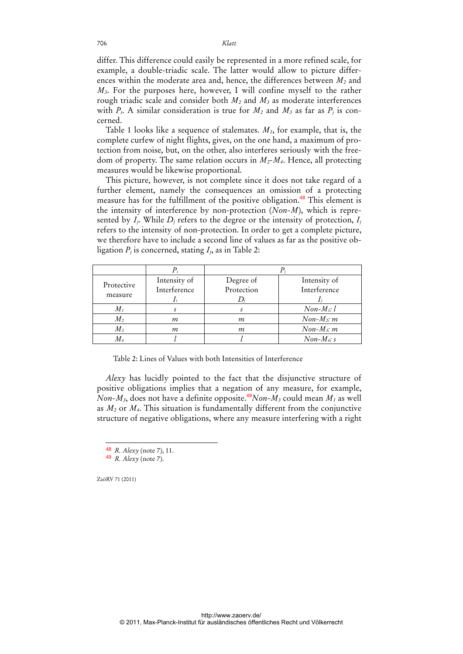differ. This difference could easily be represented in a more refined scale, for example, a double-triadic scale. The latter would allow to picture differences within the moderate area and, hence, the differences between *M2* and *M3*. For the purposes here, however, I will confine myself to the rather rough triadic scale and consider both *M2* and *M3* as moderate interferences with  $P_i$ . A similar consideration is true for  $M_2$  and  $M_3$  as far as  $P_j$  is concerned.

Table 1 looks like a sequence of stalemates. *M1*, for example, that is, the complete curfew of night flights, gives, on the one hand, a maximum of protection from noise, but, on the other, also interferes seriously with the freedom of property. The same relation occurs in *M2-M4*. Hence, all protecting measures would be likewise proportional.

This picture, however, is not complete since it does not take regard of a further element, namely the consequences an omission of a protecting measure has for the fulfillment of the positive obligation.<sup>48</sup> This element is the intensity of interference by non-protection (*Non-M*), which is represented by  $I_i$ . While  $D_i$  refers to the degree or the intensity of protection,  $I_i$ refers to the intensity of non-protection. In order to get a complete picture, we therefore have to include a second line of values as far as the positive obligation  $P_i$  is concerned, stating  $I_i$ , as in Table 2:

| Protective     | Intensity of | Degree of  | Intensity of  |
|----------------|--------------|------------|---------------|
|                | Interference | Protection | Interference  |
| measure        |              |            |               |
| $M_{I}$        |              |            | $Non-M_1: l$  |
| M <sub>2</sub> | т            | т          | $Non-M_2$ : m |
| $M_3$          | т            | т          | $Non-M3: m$   |
| M4             |              |            | $Non-M_4$ : s |

Table 2: Lines of Values with both Intensities of Interference

*Alexy* has lucidly pointed to the fact that the disjunctive structure of positive obligations implies that a negation of any measure, for example, *Non-M<sub>3</sub>*, does not have a definite opposite.<sup>49</sup>*Non-M<sub>3</sub>* could mean *M<sub>1</sub>* as well as *M2* or *M4*. This situation is fundamentally different from the conjunctive structure of negative obligations, where any measure interfering with a right

<sup>-</sup>48 *R. Alexy* (note 7), 11.

<sup>49</sup> *R. Alexy* (note 7).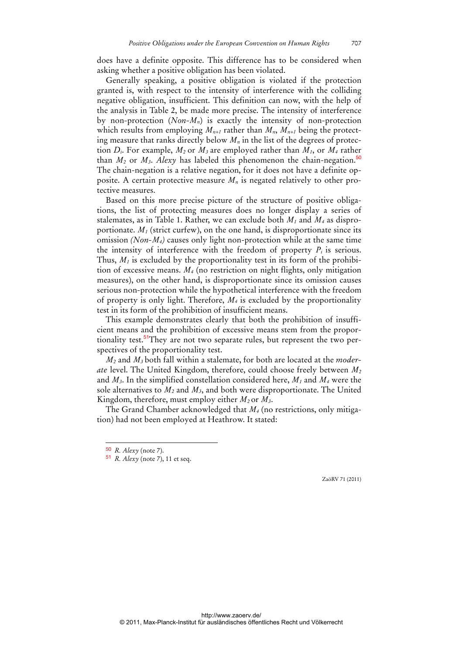does have a definite opposite. This difference has to be considered when asking whether a positive obligation has been violated.

Generally speaking, a positive obligation is violated if the protection granted is, with respect to the intensity of interference with the colliding negative obligation, insufficient. This definition can now, with the help of the analysis in Table 2, be made more precise. The intensity of interference by non-protection (*Non-Mn*) is exactly the intensity of non-protection which results from employing  $M_{n+1}$  rather than  $M_n$ ,  $M_{n+1}$  being the protecting measure that ranks directly below  $M_n$  in the list of the degrees of protection  $D_i$ . For example,  $M_2$  or  $M_3$  are employed rather than  $M_1$ , or  $M_4$  rather than  $M_2$  or  $M_3$ . *Alexy* has labeled this phenomenon the chain-negation.<sup>50</sup> The chain-negation is a relative negation, for it does not have a definite opposite. A certain protective measure *Mn* is negated relatively to other protective measures.

Based on this more precise picture of the structure of positive obligations, the list of protecting measures does no longer display a series of stalemates, as in Table 1. Rather, we can exclude both *M1* and *M4* as disproportionate.  $M_1$  (strict curfew), on the one hand, is disproportionate since its omission *(Non-M4)* causes only light non-protection while at the same time the intensity of interference with the freedom of property  $P_i$  is serious. Thus,  $M_1$  is excluded by the proportionality test in its form of the prohibition of excessive means. *M4* (no restriction on night flights, only mitigation measures), on the other hand, is disproportionate since its omission causes serious non-protection while the hypothetical interference with the freedom of property is only light. Therefore, *M4* is excluded by the proportionality test in its form of the prohibition of insufficient means.

This example demonstrates clearly that both the prohibition of insufficient means and the prohibition of excessive means stem from the proportionality test.<sup>51</sup>They are not two separate rules, but represent the two perspectives of the proportionality test.

*M2* and *M3* both fall within a stalemate, for both are located at the *moderate* level. The United Kingdom, therefore, could choose freely between *M2* and *M3*. In the simplified constellation considered here, *M1* and *M4* were the sole alternatives to *M2* and *M3*, and both were disproportionate. The United Kingdom, therefore, must employ either  $M_2$  or  $M_3$ .

The Grand Chamber acknowledged that *M4* (no restrictions, only mitigation) had not been employed at Heathrow. It stated:

-

<sup>50</sup> *R. Alexy* (note 7).

<sup>51</sup> *R. Alexy* (note 7), 11 et seq.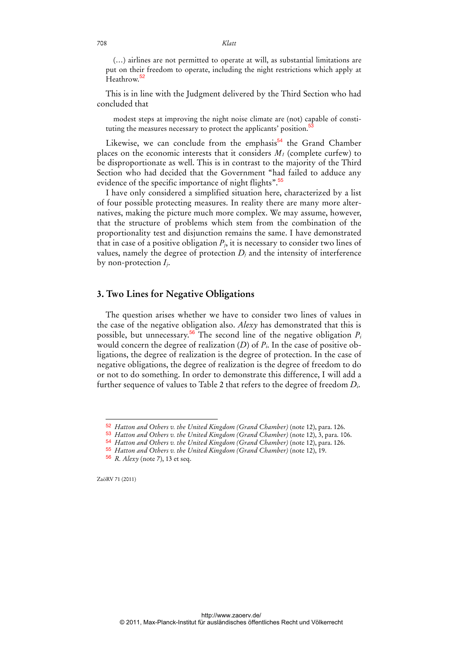(…) airlines are not permitted to operate at will, as substantial limitations are put on their freedom to operate, including the night restrictions which apply at Heathrow.<sup>52</sup>

This is in line with the Judgment delivered by the Third Section who had concluded that

modest steps at improving the night noise climate are (not) capable of constituting the measures necessary to protect the applicants' position.<sup>5</sup>

Likewise, we can conclude from the emphasis $54$  the Grand Chamber places on the economic interests that it considers  $M_1$  (complete curfew) to be disproportionate as well. This is in contrast to the majority of the Third Section who had decided that the Government "had failed to adduce any evidence of the specific importance of night flights".<sup>55</sup>

I have only considered a simplified situation here, characterized by a list of four possible protecting measures. In reality there are many more alternatives, making the picture much more complex. We may assume, however, that the structure of problems which stem from the combination of the proportionality test and disjunction remains the same. I have demonstrated that in case of a positive obligation  $P_i$ , it is necessary to consider two lines of values, namely the degree of protection  $D_i$  and the intensity of interference by non-protection *Ij*.

## **3. Two Lines for Negative Obligations**

The question arises whether we have to consider two lines of values in the case of the negative obligation also. *Alexy* has demonstrated that this is possible, but unnecessary.<sup>56</sup> The second line of the negative obligation  $P_i$ would concern the degree of realization (*D*) of *Pi*. In the case of positive obligations, the degree of realization is the degree of protection. In the case of negative obligations, the degree of realization is the degree of freedom to do or not to do something. In order to demonstrate this difference, I will add a further sequence of values to Table 2 that refers to the degree of freedom *Di*.

ZaöRV 71 (2011)

<sup>52</sup> *Hatton and Others v. the United Kingdom (Grand Chamber)* (note 12), para. 126.

<sup>53</sup> *Hatton and Others v. the United Kingdom (Grand Chamber)* (note 12), 3, para. 106.

<sup>54</sup> *Hatton and Others v. the United Kingdom (Grand Chamber)* (note 12), para. 126.

<sup>55</sup> *Hatton and Others v. the United Kingdom (Grand Chamber)* (note 12), 19.

<sup>56</sup> *R. Alexy* (note 7), 13 et seq.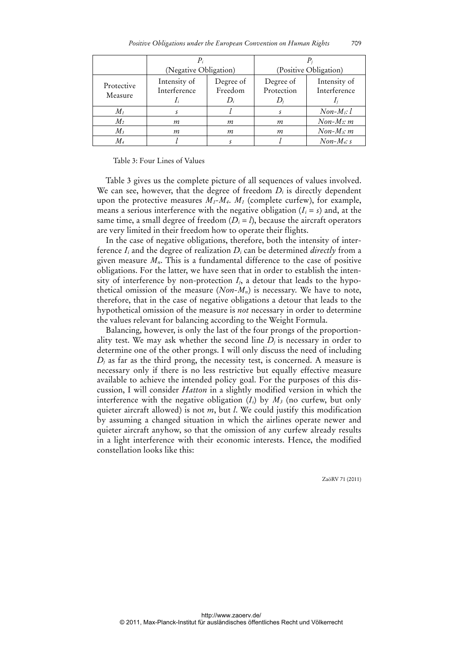|                       | (Negative Obligation)                 |                            | (Positive Obligation)   |                              |
|-----------------------|---------------------------------------|----------------------------|-------------------------|------------------------------|
| Protective<br>Measure | Intensity of<br>Interference<br>$I_i$ | Degree of<br>Freedom<br>D; | Degree of<br>Protection | Intensity of<br>Interference |
| $M_{I}$               |                                       |                            |                         | $Non-M_1: l$                 |
| M <sub>2</sub>        | m                                     | т                          | т                       | $Non-M_2$ : m                |
| $M_3$                 | т                                     | т                          | т                       | $Non-M_3: m$                 |
| $M_{4}$               |                                       |                            |                         | $Non-M_4$ : s                |

Table 3: Four Lines of Values

Table 3 gives us the complete picture of all sequences of values involved. We can see, however, that the degree of freedom  $D_i$  is directly dependent upon the protective measures  $M_1$ - $M_4$ ,  $M_1$  (complete curfew), for example, means a serious interference with the negative obligation  $(I_i = s)$  and, at the same time, a small degree of freedom  $(D_i = l)$ , because the aircraft operators are very limited in their freedom how to operate their flights.

In the case of negative obligations, therefore, both the intensity of interference *Ii* and the degree of realization *Di* can be determined *directly* from a given measure *Mn*. This is a fundamental difference to the case of positive obligations. For the latter, we have seen that in order to establish the intensity of interference by non-protection  $I_i$ , a detour that leads to the hypothetical omission of the measure  $(Non-M_n)$  is necessary. We have to note, therefore, that in the case of negative obligations a detour that leads to the hypothetical omission of the measure is *not* necessary in order to determine the values relevant for balancing according to the Weight Formula.

Balancing, however, is only the last of the four prongs of the proportionality test. We may ask whether the second line  $D_i$  is necessary in order to determine one of the other prongs. I will only discuss the need of including  $D_i$  as far as the third prong, the necessity test, is concerned. A measure is necessary only if there is no less restrictive but equally effective measure available to achieve the intended policy goal. For the purposes of this discussion, I will consider *Hatton* in a slightly modified version in which the interference with the negative obligation  $(I_i)$  by  $M_3$  (no curfew, but only quieter aircraft allowed) is not *m*, but *l*. We could justify this modification by assuming a changed situation in which the airlines operate newer and quieter aircraft anyhow, so that the omission of any curfew already results in a light interference with their economic interests. Hence, the modified constellation looks like this: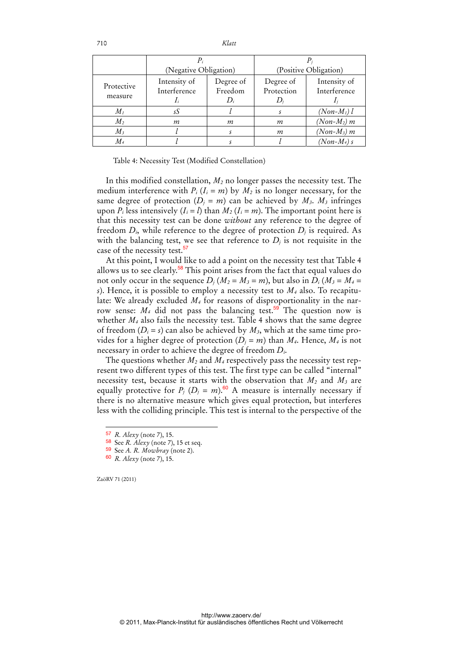|                       | (Negative Obligation)                 |                               | (Positive Obligation)   |                              |
|-----------------------|---------------------------------------|-------------------------------|-------------------------|------------------------------|
| Protective<br>measure | Intensity of<br>Interference<br>$I_i$ | Degree of<br>Freedom<br>$D_i$ | Degree of<br>Protection | Intensity of<br>Interference |
| $M_{I}$               | sS                                    |                               |                         | $(Non-M_1)$ l                |
| $M_2$                 | т                                     | т                             | т                       | $(Non-M_2)$ m                |
| $M_3$                 |                                       |                               | т                       | $(Non-M_3)$ m                |
| $M_{4}$               |                                       |                               |                         | $(Non-M_4)$ s                |

Table 4: Necessity Test (Modified Constellation)

In this modified constellation, *M2* no longer passes the necessity test. The medium interference with  $P_i$  ( $I_i = m$ ) by  $M_2$  is no longer necessary, for the same degree of protection  $(D_i = m)$  can be achieved by  $M_3$ .  $M_3$  infringes upon  $P_i$  less intensively  $(I_i = l)$  than  $M_2$   $(I_i = m)$ . The important point here is that this necessity test can be done *without* any reference to the degree of freedom  $D_i$ , while reference to the degree of protection  $D_i$  is required. As with the balancing test, we see that reference to  $D_i$  is not requisite in the case of the necessity test.<sup>57</sup>

At this point, I would like to add a point on the necessity test that Table 4 allows us to see clearly.<sup>58</sup> This point arises from the fact that equal values do not only occur in the sequence  $D_i$  ( $M_2 = M_3 = m$ ), but also in  $D_i$  ( $M_3 = M_4 =$ *s*). Hence, it is possible to employ a necessity test to *M4* also. To recapitulate: We already excluded *M4* for reasons of disproportionality in the narrow sense:  $M_4$  did not pass the balancing test.<sup>59</sup> The question now is whether  $M_4$  also fails the necessity test. Table 4 shows that the same degree of freedom  $(D_i = s)$  can also be achieved by  $M_3$ , which at the same time provides for a higher degree of protection  $(D_i = m)$  than  $M_4$ . Hence,  $M_4$  is not necessary in order to achieve the degree of freedom *Di*.

The questions whether *M2* and *M4* respectively pass the necessity test represent two different types of this test. The first type can be called "internal" necessity test, because it starts with the observation that  $M_2$  and  $M_3$  are equally protective for  $P_i$  ( $D_i = m$ ).<sup>60</sup> A measure is internally necessary if there is no alternative measure which gives equal protection, but interferes less with the colliding principle. This test is internal to the perspective of the

ZaöRV 71 (2011)

-

<sup>57</sup> *R. Alexy* (note 7), 15.

<sup>58</sup> See *R. Alexy* (note 7), 15 et seq.

<sup>59</sup> See *A. R. Mowbray* (note 2).

<sup>60</sup> *R. Alexy* (note 7), 15.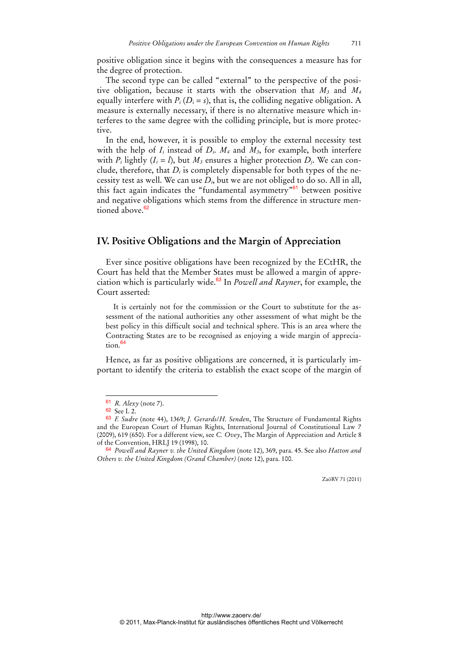positive obligation since it begins with the consequences a measure has for the degree of protection.

The second type can be called "external" to the perspective of the positive obligation, because it starts with the observation that *M3* and *M4* equally interfere with  $P_i (D_i = s)$ , that is, the colliding negative obligation. A measure is externally necessary, if there is no alternative measure which interferes to the same degree with the colliding principle, but is more protective.

In the end, however, it is possible to employ the external necessity test with the help of  $I_i$  instead of  $D_i$ .  $M_4$  and  $M_3$ , for example, both interfere with  $P_i$  lightly  $(I_i = l)$ , but  $M_3$  ensures a higher protection  $D_i$ . We can conclude, therefore, that  $D_i$  is completely dispensable for both types of the necessity test as well. We can use *Di*, but we are not obliged to do so. All in all, this fact again indicates the "fundamental asymmetry"<sup>61</sup> between positive and negative obligations which stems from the difference in structure men $t$ ioned above  $62$ 

## **IV. Positive Obligations and the Margin of Appreciation**

Ever since positive obligations have been recognized by the ECtHR, the Court has held that the Member States must be allowed a margin of appreciation which is particularly wide.<sup>63</sup> In *Powell and Rayner*, for example, the Court asserted:

It is certainly not for the commission or the Court to substitute for the assessment of the national authorities any other assessment of what might be the best policy in this difficult social and technical sphere. This is an area where the Contracting States are to be recognised as enjoying a wide margin of appreciation.<sup>64</sup>

Hence, as far as positive obligations are concerned, it is particularly important to identify the criteria to establish the exact scope of the margin of

l

<sup>61</sup> *R. Alexy* (note 7).

<sup>62</sup> See I. 2.

<sup>63</sup> *F. Sudre* (note 44), 1369; *J. Gerards*/*H. Senden*, The Structure of Fundamental Rights and the European Court of Human Rights, International Journal of Constitutional Law 7 (2009), 619 (650). For a different view, see *C. Ovey*, The Margin of Appreciation and Article 8 of the Convention, HRLJ 19 (1998), 10.

<sup>64</sup> *Powell and Rayner v. the United Kingdom* (note 12), 369, para. 45. See also *Hatton and Others v. the United Kingdom (Grand Chamber)* (note 12), para. 100.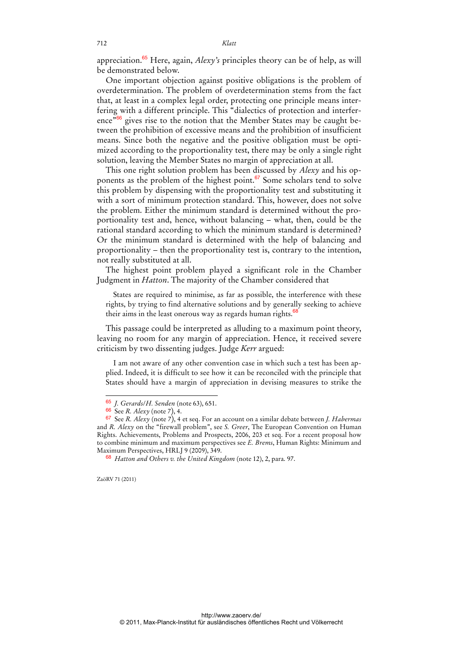appreciation.<sup>65</sup> Here, again, *Alexy's* principles theory can be of help, as will be demonstrated below.

One important objection against positive obligations is the problem of overdetermination. The problem of overdetermination stems from the fact that, at least in a complex legal order, protecting one principle means interfering with a different principle. This "dialectics of protection and interference<sup>"66</sup> gives rise to the notion that the Member States may be caught between the prohibition of excessive means and the prohibition of insufficient means. Since both the negative and the positive obligation must be optimized according to the proportionality test, there may be only a single right solution, leaving the Member States no margin of appreciation at all.

This one right solution problem has been discussed by *Alexy* and his opponents as the problem of the highest point.<sup>67</sup> Some scholars tend to solve this problem by dispensing with the proportionality test and substituting it with a sort of minimum protection standard. This, however, does not solve the problem. Either the minimum standard is determined without the proportionality test and, hence, without balancing – what, then, could be the rational standard according to which the minimum standard is determined? Or the minimum standard is determined with the help of balancing and proportionality – then the proportionality test is, contrary to the intention, not really substituted at all.

The highest point problem played a significant role in the Chamber Judgment in *Hatton*. The majority of the Chamber considered that

States are required to minimise, as far as possible, the interference with these rights, by trying to find alternative solutions and by generally seeking to achieve their aims in the least onerous way as regards human rights.<sup>68</sup>

This passage could be interpreted as alluding to a maximum point theory, leaving no room for any margin of appreciation. Hence, it received severe criticism by two dissenting judges. Judge *Kerr* argued:

I am not aware of any other convention case in which such a test has been applied. Indeed, it is difficult to see how it can be reconciled with the principle that States should have a margin of appreciation in devising measures to strike the

<sup>65</sup> *J. Gerards*/*H. Senden* (note 63), 651.

<sup>66</sup> See *R. Alexy* (note 7), 4.

<sup>67</sup> See *R. Alexy* (note 7), 4 et seq. For an account on a similar debate between *J. Habermas* and *R. Alexy* on the "firewall problem", see *S. Greer*, The European Convention on Human Rights. Achievements, Problems and Prospects, 2006, 203 et seq. For a recent proposal how to combine minimum and maximum perspectives see *E. Brems*, Human Rights: Minimum and Maximum Perspectives, HRLJ 9 (2009), 349.

<sup>68</sup> *Hatton and Others v. the United Kingdom* (note 12), 2, para. 97.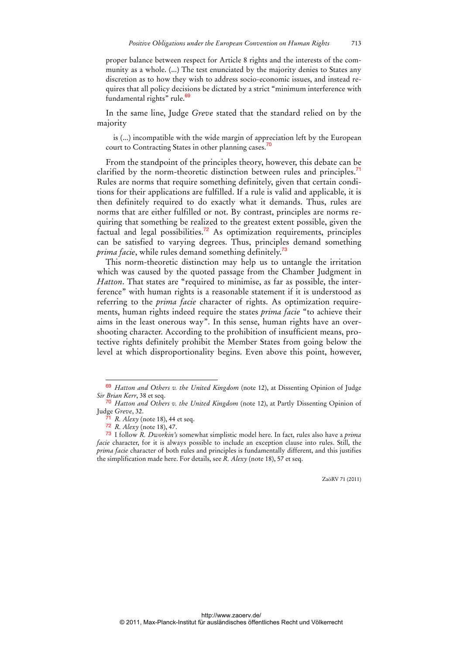proper balance between respect for Article 8 rights and the interests of the community as a whole. (...) The test enunciated by the majority denies to States any discretion as to how they wish to address socio-economic issues, and instead requires that all policy decisions be dictated by a strict "minimum interference with fundamental rights" rule.<sup>69</sup>

In the same line, Judge *Greve* stated that the standard relied on by the majority

is (...) incompatible with the wide margin of appreciation left by the European court to Contracting States in other planning cases.<sup>7</sup>

From the standpoint of the principles theory, however, this debate can be clarified by the norm-theoretic distinction between rules and principles.<sup>11</sup> Rules are norms that require something definitely, given that certain conditions for their applications are fulfilled. If a rule is valid and applicable, it is then definitely required to do exactly what it demands. Thus, rules are norms that are either fulfilled or not. By contrast, principles are norms requiring that something be realized to the greatest extent possible, given the factual and legal possibilities.<sup>72</sup> As optimization requirements, principles can be satisfied to varying degrees. Thus, principles demand something *prima facie*, while rules demand something definitely.<sup>73</sup>

This norm-theoretic distinction may help us to untangle the irritation which was caused by the quoted passage from the Chamber Judgment in *Hatton*. That states are "required to minimise, as far as possible, the interference" with human rights is a reasonable statement if it is understood as referring to the *prima facie* character of rights. As optimization requirements, human rights indeed require the states *prima facie* "to achieve their aims in the least onerous way". In this sense, human rights have an overshooting character. According to the prohibition of insufficient means, protective rights definitely prohibit the Member States from going below the level at which disproportionality begins. Even above this point, however,

<sup>69</sup> *Hatton and Others v. the United Kingdom* (note 12), at Dissenting Opinion of Judge *Sir Brian Kerr*, 38 et seq.

<sup>70</sup> *Hatton and Others v. the United Kingdom* (note 12), at Partly Dissenting Opinion of Judge *Greve*, 32.

*R. Alexy* (note 18), 44 et seq.

<sup>72</sup> *R. Alexy* (note 18), 47.

<sup>73</sup> I follow *R. Dworkin's* somewhat simplistic model here. In fact, rules also have a *prima facie* character, for it is always possible to include an exception clause into rules. Still, the *prima facie* character of both rules and principles is fundamentally different, and this justifies the simplification made here. For details, see *R. Alexy* (note 18), 57 et seq.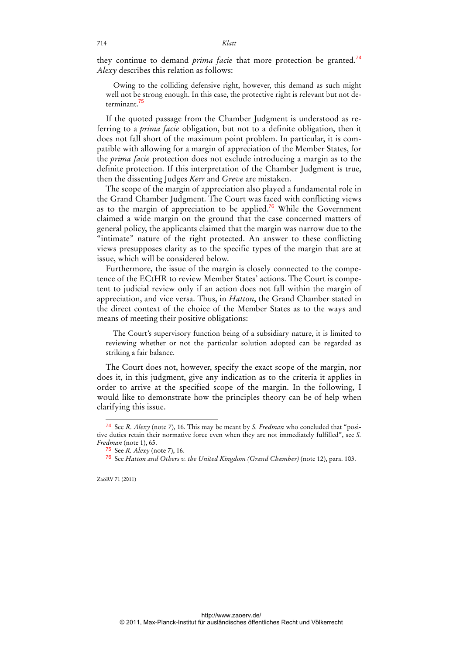they continue to demand *prima facie* that more protection be granted.<sup>74</sup> *Alexy* describes this relation as follows:

Owing to the colliding defensive right, however, this demand as such might well not be strong enough. In this case, the protective right is relevant but not determinant.<sup>75</sup>

If the quoted passage from the Chamber Judgment is understood as referring to a *prima facie* obligation, but not to a definite obligation, then it does not fall short of the maximum point problem. In particular, it is compatible with allowing for a margin of appreciation of the Member States, for the *prima facie* protection does not exclude introducing a margin as to the definite protection. If this interpretation of the Chamber Judgment is true, then the dissenting Judges *Kerr* and *Greve* are mistaken.

The scope of the margin of appreciation also played a fundamental role in the Grand Chamber Judgment. The Court was faced with conflicting views as to the margin of appreciation to be applied.<sup>76</sup> While the Government claimed a wide margin on the ground that the case concerned matters of general policy, the applicants claimed that the margin was narrow due to the "intimate" nature of the right protected. An answer to these conflicting views presupposes clarity as to the specific types of the margin that are at issue, which will be considered below.

Furthermore, the issue of the margin is closely connected to the competence of the ECtHR to review Member States' actions. The Court is competent to judicial review only if an action does not fall within the margin of appreciation, and vice versa. Thus, in *Hatton*, the Grand Chamber stated in the direct context of the choice of the Member States as to the ways and means of meeting their positive obligations:

The Court's supervisory function being of a subsidiary nature, it is limited to reviewing whether or not the particular solution adopted can be regarded as striking a fair balance.

The Court does not, however, specify the exact scope of the margin, nor does it, in this judgment, give any indication as to the criteria it applies in order to arrive at the specified scope of the margin. In the following, I would like to demonstrate how the principles theory can be of help when clarifying this issue.

<sup>74</sup> See *R. Alexy* (note 7), 16. This may be meant by *S. Fredman* who concluded that "positive duties retain their normative force even when they are not immediately fulfilled", see *S. Fredman* (note 1), 65.

<sup>75</sup> See *R. Alexy* (note 7), 16.

<sup>76</sup> See *Hatton and Others v. the United Kingdom (Grand Chamber)* (note 12), para. 103.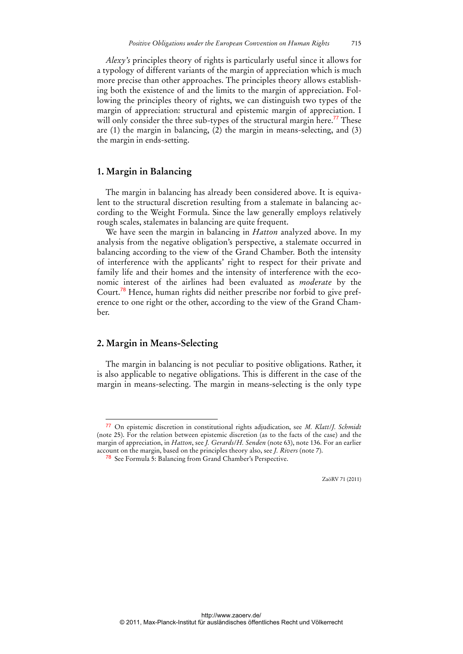*Alexy's* principles theory of rights is particularly useful since it allows for a typology of different variants of the margin of appreciation which is much more precise than other approaches. The principles theory allows establishing both the existence of and the limits to the margin of appreciation. Following the principles theory of rights, we can distinguish two types of the margin of appreciation: structural and epistemic margin of appreciation. I will only consider the three sub-types of the structural margin here.<sup>77</sup> These are (1) the margin in balancing, (2) the margin in means-selecting, and (3) the margin in ends-setting.

#### **1. Margin in Balancing**

The margin in balancing has already been considered above. It is equivalent to the structural discretion resulting from a stalemate in balancing according to the Weight Formula. Since the law generally employs relatively rough scales, stalemates in balancing are quite frequent.

We have seen the margin in balancing in *Hatton* analyzed above. In my analysis from the negative obligation's perspective, a stalemate occurred in balancing according to the view of the Grand Chamber. Both the intensity of interference with the applicants' right to respect for their private and family life and their homes and the intensity of interference with the economic interest of the airlines had been evaluated as *moderate* by the Court.<sup>78</sup> Hence, human rights did neither prescribe nor forbid to give preference to one right or the other, according to the view of the Grand Chamber.

## **2. Margin in Means-Selecting**

l

The margin in balancing is not peculiar to positive obligations. Rather, it is also applicable to negative obligations. This is different in the case of the margin in means-selecting. The margin in means-selecting is the only type

<sup>77</sup> On epistemic discretion in constitutional rights adjudication, see *M. Klatt*/*J. Schmidt*  (note 25). For the relation between epistemic discretion (as to the facts of the case) and the margin of appreciation, in *Hatton*, see *J. Gerards*/*H. Senden* (note 63), note 136. For an earlier account on the margin, based on the principles theory also, see *J. Rivers* (note 7).

<sup>78</sup> See Formula 5: Balancing from Grand Chamber's Perspective.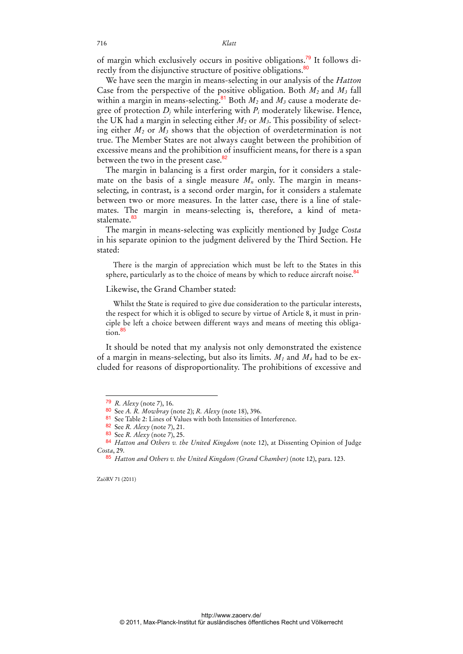of margin which exclusively occurs in positive obligations.79 It follows directly from the disjunctive structure of positive obligations.<sup>80</sup>

We have seen the margin in means-selecting in our analysis of the *Hatton* Case from the perspective of the positive obligation. Both  $M_2$  and  $M_3$  fall within a margin in means-selecting.<sup>81</sup> Both  $M_2$  and  $M_3$  cause a moderate degree of protection *Dj* while interfering with *Pi* moderately likewise. Hence, the UK had a margin in selecting either  $M_2$  or  $M_3$ . This possibility of selecting either *M2* or *M3* shows that the objection of overdetermination is not true. The Member States are not always caught between the prohibition of excessive means and the prohibition of insufficient means, for there is a span between the two in the present case.<sup>82</sup>

The margin in balancing is a first order margin, for it considers a stalemate on the basis of a single measure  $M_n$  only. The margin in meansselecting, in contrast, is a second order margin, for it considers a stalemate between two or more measures. In the latter case, there is a line of stalemates. The margin in means-selecting is, therefore, a kind of metastalemate.<sup>83</sup>

The margin in means-selecting was explicitly mentioned by Judge *Costa* in his separate opinion to the judgment delivered by the Third Section. He stated:

There is the margin of appreciation which must be left to the States in this sphere, particularly as to the choice of means by which to reduce aircraft noise.<sup>84</sup>

#### Likewise, the Grand Chamber stated:

Whilst the State is required to give due consideration to the particular interests, the respect for which it is obliged to secure by virtue of Article 8, it must in principle be left a choice between different ways and means of meeting this obligation.<sup>85</sup>

It should be noted that my analysis not only demonstrated the existence of a margin in means-selecting, but also its limits.  $M_1$  and  $M_4$  had to be excluded for reasons of disproportionality. The prohibitions of excessive and

ZaöRV 71 (2011)

<sup>79</sup> *R. Alexy* (note 7), 16.

<sup>80</sup> See *A. R. Mowbray* (note 2); *R. Alexy* (note 18), 396.

<sup>81</sup> See Table 2: Lines of Values with both Intensities of Interference.

<sup>82</sup> See *R. Alexy* (note 7), 21.

<sup>83</sup> See *R. Alexy* (note 7), 25.

<sup>84</sup> *Hatton and Others v. the United Kingdom* (note 12), at Dissenting Opinion of Judge *Costa*, 29.

<sup>85</sup> *Hatton and Others v. the United Kingdom (Grand Chamber)* (note 12), para. 123.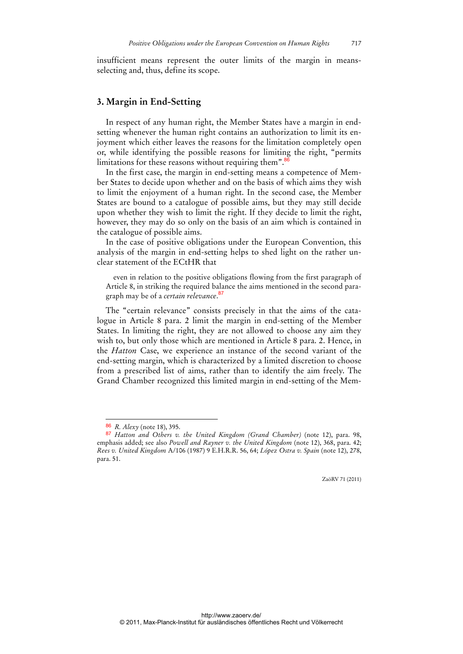insufficient means represent the outer limits of the margin in meansselecting and, thus, define its scope.

#### **3. Margin in End-Setting**

In respect of any human right, the Member States have a margin in endsetting whenever the human right contains an authorization to limit its enjoyment which either leaves the reasons for the limitation completely open or, while identifying the possible reasons for limiting the right, "permits limitations for these reasons without requiring them".<sup>8</sup>

In the first case, the margin in end-setting means a competence of Member States to decide upon whether and on the basis of which aims they wish to limit the enjoyment of a human right. In the second case, the Member States are bound to a catalogue of possible aims, but they may still decide upon whether they wish to limit the right. If they decide to limit the right, however, they may do so only on the basis of an aim which is contained in the catalogue of possible aims.

In the case of positive obligations under the European Convention, this analysis of the margin in end-setting helps to shed light on the rather unclear statement of the ECtHR that

even in relation to the positive obligations flowing from the first paragraph of Article 8, in striking the required balance the aims mentioned in the second paragraph may be of a *certain relevance*. 87

The "certain relevance" consists precisely in that the aims of the catalogue in Article 8 para. 2 limit the margin in end-setting of the Member States. In limiting the right, they are not allowed to choose any aim they wish to, but only those which are mentioned in Article 8 para. 2. Hence, in the *Hatton* Case, we experience an instance of the second variant of the end-setting margin, which is characterized by a limited discretion to choose from a prescribed list of aims, rather than to identify the aim freely. The Grand Chamber recognized this limited margin in end-setting of the Mem-

<sup>86</sup> *R. Alexy* (note 18), 395.

<sup>87</sup> *Hatton and Others v. the United Kingdom (Grand Chamber)* (note 12), para. 98, emphasis added; see also *Powell and Rayner v. the United Kingdom* (note 12), 368, para. 42; *Rees v. United Kingdom* A/106 (1987) 9 E.H.R.R. 56, 64; *López Ostra v. Spain* (note 12), 278, para. 51.

ZaöRV 71 (2011)